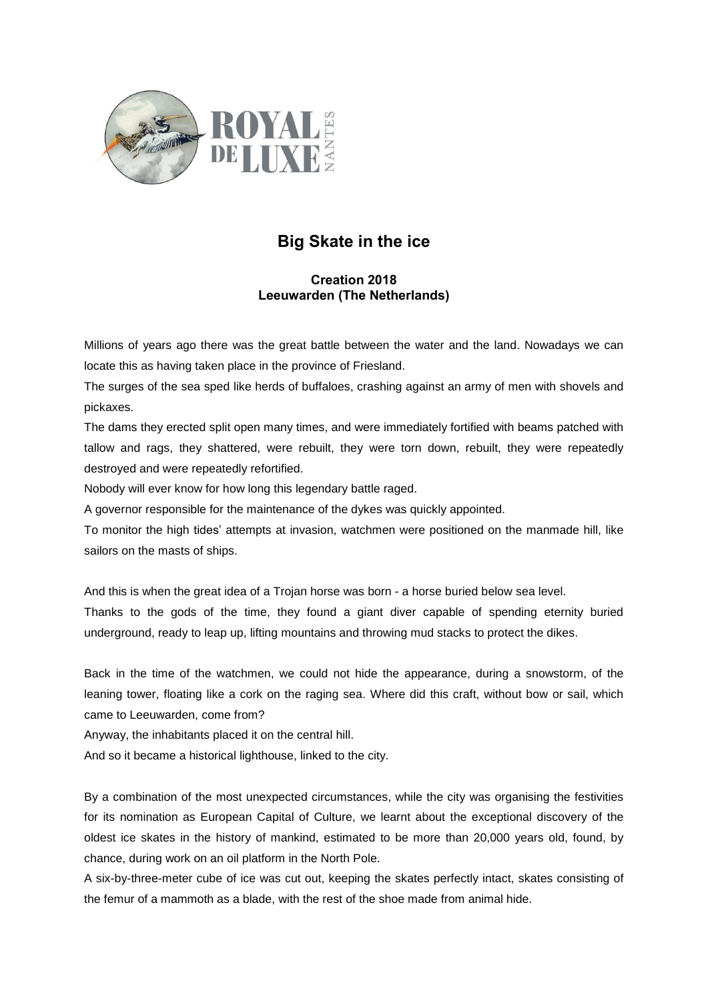

## **Big Skate in the ice**

## **Creation 2018 Leeuwarden (The Netherlands)**

Millions of years ago there was the great battle between the water and the land. Nowadays we can locate this as having taken place in the province of Friesland.

The surges of the sea sped like herds of buffaloes, crashing against an army of men with shovels and pickaxes.

The dams they erected split open many times, and were immediately fortified with beams patched with tallow and rags, they shattered, were rebuilt, they were torn down, rebuilt, they were repeatedly destroyed and were repeatedly refortified.

Nobody will ever know for how long this legendary battle raged.

A governor responsible for the maintenance of the dykes was quickly appointed.

To monitor the high tides' attempts at invasion, watchmen were positioned on the manmade hill, like sailors on the masts of ships.

And this is when the great idea of a Trojan horse was born - a horse buried below sea level.

Thanks to the gods of the time, they found a giant diver capable of spending eternity buried underground, ready to leap up, lifting mountains and throwing mud stacks to protect the dikes.

Back in the time of the watchmen, we could not hide the appearance, during a snowstorm, of the leaning tower, floating like a cork on the raging sea. Where did this craft, without bow or sail, which came to Leeuwarden, come from?

Anyway, the inhabitants placed it on the central hill.

And so it became a historical lighthouse, linked to the city.

By a combination of the most unexpected circumstances, while the city was organising the festivities for its nomination as European Capital of Culture, we learnt about the exceptional discovery of the oldest ice skates in the history of mankind, estimated to be more than 20,000 years old, found, by chance, during work on an oil platform in the North Pole.

A six-by-three-meter cube of ice was cut out, keeping the skates perfectly intact, skates consisting of the femur of a mammoth as a blade, with the rest of the shoe made from animal hide.